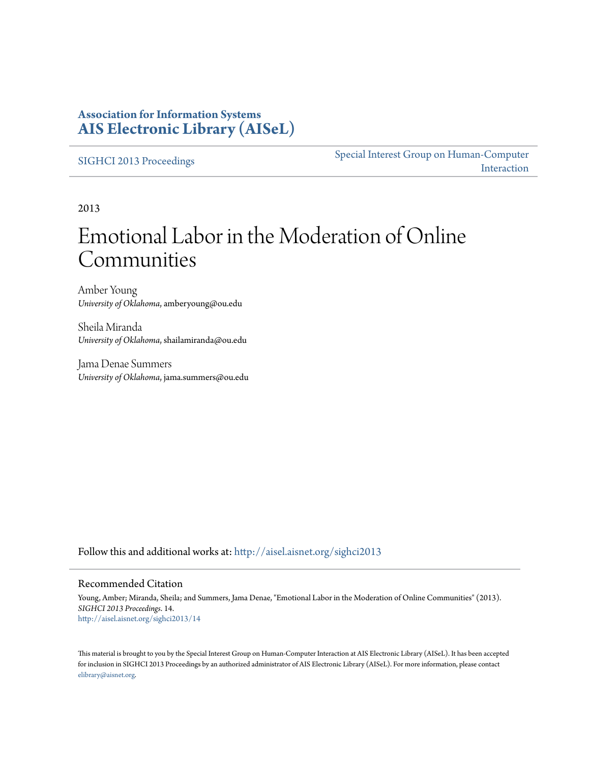### **Association for Information Systems [AIS Electronic Library \(AISeL\)](http://aisel.aisnet.org?utm_source=aisel.aisnet.org%2Fsighci2013%2F14&utm_medium=PDF&utm_campaign=PDFCoverPages)**

[SIGHCI 2013 Proceedings](http://aisel.aisnet.org/sighci2013?utm_source=aisel.aisnet.org%2Fsighci2013%2F14&utm_medium=PDF&utm_campaign=PDFCoverPages)

[Special Interest Group on Human-Computer](http://aisel.aisnet.org/sighci?utm_source=aisel.aisnet.org%2Fsighci2013%2F14&utm_medium=PDF&utm_campaign=PDFCoverPages) [Interaction](http://aisel.aisnet.org/sighci?utm_source=aisel.aisnet.org%2Fsighci2013%2F14&utm_medium=PDF&utm_campaign=PDFCoverPages)

2013

# Emotional Labor in the Moderation of Online Communities

Amber Young *University of Oklahoma*, amberyoung@ou.edu

Sheila Miranda *University of Oklahoma*, shailamiranda@ou.edu

Jama Denae Summers *University of Oklahoma*, jama.summers@ou.edu

Follow this and additional works at: [http://aisel.aisnet.org/sighci2013](http://aisel.aisnet.org/sighci2013?utm_source=aisel.aisnet.org%2Fsighci2013%2F14&utm_medium=PDF&utm_campaign=PDFCoverPages)

#### Recommended Citation

Young, Amber; Miranda, Sheila; and Summers, Jama Denae, "Emotional Labor in the Moderation of Online Communities" (2013). *SIGHCI 2013 Proceedings*. 14. [http://aisel.aisnet.org/sighci2013/14](http://aisel.aisnet.org/sighci2013/14?utm_source=aisel.aisnet.org%2Fsighci2013%2F14&utm_medium=PDF&utm_campaign=PDFCoverPages)

This material is brought to you by the Special Interest Group on Human-Computer Interaction at AIS Electronic Library (AISeL). It has been accepted for inclusion in SIGHCI 2013 Proceedings by an authorized administrator of AIS Electronic Library (AISeL). For more information, please contact [elibrary@aisnet.org.](mailto:elibrary@aisnet.org%3E)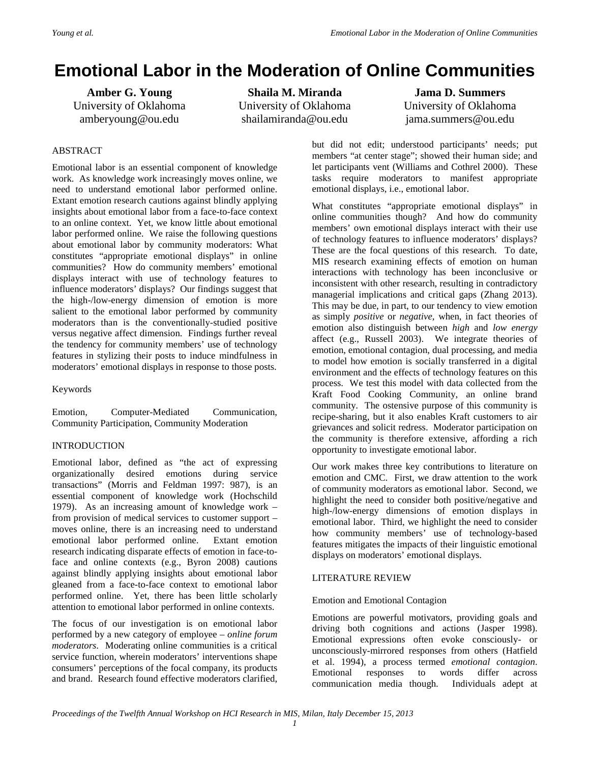## **Emotional Labor in the Moderation of Online Communities**

**Amber G. Young** University of Oklahoma amberyoung@ou.edu

**Shaila M. Miranda** University of Oklahoma shailamiranda@ou.edu

**Jama D. Summers** University of Oklahoma jama.summers@ou.edu

#### ABSTRACT

Emotional labor is an essential component of knowledge work. As knowledge work increasingly moves online, we need to understand emotional labor performed online. Extant emotion research cautions against blindly applying insights about emotional labor from a face-to-face context to an online context. Yet, we know little about emotional labor performed online. We raise the following questions about emotional labor by community moderators: What constitutes "appropriate emotional displays" in online communities? How do community members' emotional displays interact with use of technology features to influence moderators' displays? Our findings suggest that the high-/low-energy dimension of emotion is more salient to the emotional labor performed by community moderators than is the conventionally-studied positive versus negative affect dimension. Findings further reveal the tendency for community members' use of technology features in stylizing their posts to induce mindfulness in moderators' emotional displays in response to those posts.

Keywords

Emotion, Computer-Mediated Communication, Community Participation, Community Moderation

#### INTRODUCTION

Emotional labor, defined as "the act of expressing organizationally desired emotions during service transactions" (Morris and Feldman 1997: 987), is an essential component of knowledge work (Hochschild 1979). As an increasing amount of knowledge work – from provision of medical services to customer support – moves online, there is an increasing need to understand emotional labor performed online. Extant emotion research indicating disparate effects of emotion in face-toface and online contexts (e.g., Byron 2008) cautions against blindly applying insights about emotional labor gleaned from a face-to-face context to emotional labor performed online. Yet, there has been little scholarly attention to emotional labor performed in online contexts.

The focus of our investigation is on emotional labor performed by a new category of employee – *online forum moderators*. Moderating online communities is a critical service function, wherein moderators' interventions shape consumers' perceptions of the focal company, its products and brand. Research found effective moderators clarified, but did not edit; understood participants' needs; put members "at center stage"; showed their human side; and let participants vent (Williams and Cothrel 2000). These tasks require moderators to manifest appropriate emotional displays, i.e., emotional labor.

What constitutes "appropriate emotional displays" in online communities though? And how do community members' own emotional displays interact with their use of technology features to influence moderators' displays? These are the focal questions of this research. To date, MIS research examining effects of emotion on human interactions with technology has been inconclusive or inconsistent with other research, resulting in contradictory managerial implications and critical gaps (Zhang 2013). This may be due, in part, to our tendency to view emotion as simply *positive* or *negative*, when, in fact theories of emotion also distinguish between *high* and *low energy*  affect (e.g., Russell 2003). We integrate theories of emotion, emotional contagion, dual processing, and media to model how emotion is socially transferred in a digital environment and the effects of technology features on this process. We test this model with data collected from the Kraft Food Cooking Community, an online brand community. The ostensive purpose of this community is recipe-sharing, but it also enables Kraft customers to air grievances and solicit redress. Moderator participation on the community is therefore extensive, affording a rich opportunity to investigate emotional labor.

Our work makes three key contributions to literature on emotion and CMC. First, we draw attention to the work of community moderators as emotional labor. Second, we highlight the need to consider both positive/negative and high-/low-energy dimensions of emotion displays in emotional labor. Third, we highlight the need to consider how community members' use of technology-based features mitigates the impacts of their linguistic emotional displays on moderators' emotional displays.

#### LITERATURE REVIEW

#### Emotion and Emotional Contagion

Emotions are powerful motivators, providing goals and driving both cognitions and actions (Jasper 1998). Emotional expressions often evoke consciously- or unconsciously-mirrored responses from others (Hatfield et al. 1994), a process termed *emotional contagion*. Emotional responses to words differ across communication media though. Individuals adept at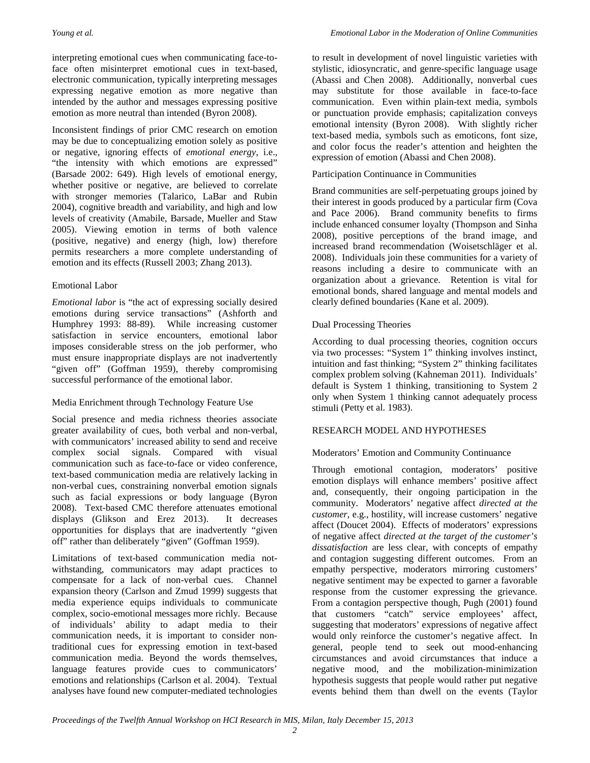interpreting emotional cues when communicating face-toface often misinterpret emotional cues in text-based, electronic communication, typically interpreting messages expressing negative emotion as more negative than intended by the author and messages expressing positive emotion as more neutral than intended (Byron 2008).

Inconsistent findings of prior CMC research on emotion may be due to conceptualizing emotion solely as positive or negative, ignoring effects of *emotional energy*, i.e., "the intensity with which emotions are expressed" (Barsade 2002: 649). High levels of emotional energy, whether positive or negative, are believed to correlate with stronger memories (Talarico, LaBar and Rubin 2004), cognitive breadth and variability, and high and low levels of creativity (Amabile, Barsade, Mueller and Staw 2005). Viewing emotion in terms of both valence (positive, negative) and energy (high, low) therefore permits researchers a more complete understanding of emotion and its effects (Russell 2003; Zhang 2013).

#### Emotional Labor

*Emotional labor* is "the act of expressing socially desired emotions during service transactions" (Ashforth and Humphrey 1993: 88-89). While increasing customer satisfaction in service encounters, emotional labor imposes considerable stress on the job performer, who must ensure inappropriate displays are not inadvertently "given off" (Goffman 1959), thereby compromising successful performance of the emotional labor.

#### Media Enrichment through Technology Feature Use

Social presence and media richness theories associate greater availability of cues, both verbal and non-verbal, with communicators' increased ability to send and receive complex social signals. Compared with visual communication such as face-to-face or video conference, text-based communication media are relatively lacking in non-verbal cues, constraining nonverbal emotion signals such as facial expressions or body language (Byron 2008). Text-based CMC therefore attenuates emotional displays (Glikson and Erez 2013). It decreases opportunities for displays that are inadvertently "given off" rather than deliberately "given" (Goffman 1959).

Limitations of text-based communication media notwithstanding, communicators may adapt practices to compensate for a lack of non-verbal cues. Channel expansion theory (Carlson and Zmud 1999) suggests that media experience equips individuals to communicate complex, socio-emotional messages more richly. Because of individuals' ability to adapt media to their communication needs, it is important to consider nontraditional cues for expressing emotion in text-based communication media. Beyond the words themselves, language features provide cues to communicators' emotions and relationships (Carlson et al. 2004). Textual analyses have found new computer-mediated technologies

to result in development of novel linguistic varieties with stylistic, idiosyncratic, and genre-specific language usage (Abassi and Chen 2008). Additionally, nonverbal cues may substitute for those available in face-to-face communication. Even within plain-text media, symbols or punctuation provide emphasis; capitalization conveys emotional intensity (Byron 2008). With slightly richer text-based media, symbols such as emoticons, font size, and color focus the reader's attention and heighten the expression of emotion (Abassi and Chen 2008).

#### Participation Continuance in Communities

Brand communities are self-perpetuating groups joined by their interest in goods produced by a particular firm (Cova and Pace 2006). Brand community benefits to firms include enhanced consumer loyalty (Thompson and Sinha 2008), positive perceptions of the brand image, and increased brand recommendation (Woisetschläger et al. 2008). Individuals join these communities for a variety of reasons including a desire to communicate with an organization about a grievance. Retention is vital for emotional bonds, shared language and mental models and clearly defined boundaries (Kane et al. 2009).

#### Dual Processing Theories

According to dual processing theories, cognition occurs via two processes: "System 1" thinking involves instinct, intuition and fast thinking; "System 2" thinking facilitates complex problem solving (Kahneman 2011). Individuals' default is System 1 thinking, transitioning to System 2 only when System 1 thinking cannot adequately process stimuli (Petty et al. 1983).

#### RESEARCH MODEL AND HYPOTHESES

#### Moderators' Emotion and Community Continuance

Through emotional contagion, moderators' positive emotion displays will enhance members' positive affect and, consequently, their ongoing participation in the community. Moderators' negative affect *directed at the customer*, e.g., hostility, will increase customers' negative affect (Doucet 2004). Effects of moderators' expressions of negative affect *directed at the target of the customer's dissatisfaction* are less clear, with concepts of empathy and contagion suggesting different outcomes. From an empathy perspective, moderators mirroring customers' negative sentiment may be expected to garner a favorable response from the customer expressing the grievance. From a contagion perspective though, Pugh (2001) found that customers "catch" service employees' affect, suggesting that moderators' expressions of negative affect would only reinforce the customer's negative affect. In general, people tend to seek out mood-enhancing circumstances and avoid circumstances that induce a negative mood, and the mobilization-minimization hypothesis suggests that people would rather put negative events behind them than dwell on the events (Taylor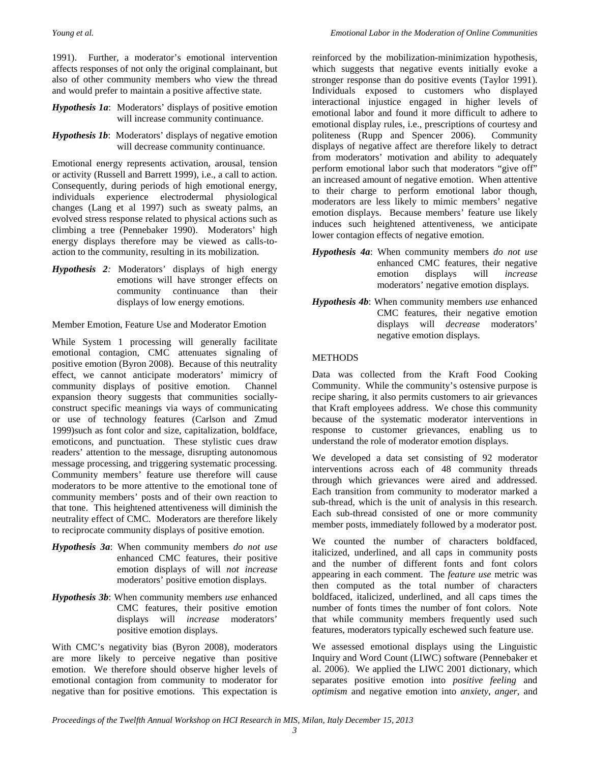1991). Further, a moderator's emotional intervention affects responses of not only the original complainant, but also of other community members who view the thread and would prefer to maintain a positive affective state.

- *Hypothesis 1a*: Moderators' displays of positive emotion will increase community continuance.
- *Hypothesis 1b*: Moderators' displays of negative emotion will decrease community continuance.

Emotional energy represents activation, arousal, tension or activity (Russell and Barrett 1999), i.e., a call to action. Consequently, during periods of high emotional energy, individuals experience electrodermal physiological changes (Lang et al 1997) such as sweaty palms, an evolved stress response related to physical actions such as climbing a tree (Pennebaker 1990). Moderators' high energy displays therefore may be viewed as calls-toaction to the community, resulting in its mobilization.

*Hypothesis 2:* Moderators' displays of high energy emotions will have stronger effects on community continuance than their displays of low energy emotions.

Member Emotion, Feature Use and Moderator Emotion

While System 1 processing will generally facilitate emotional contagion, CMC attenuates signaling of positive emotion (Byron 2008). Because of this neutrality effect, we cannot anticipate moderators' mimicry of community displays of positive emotion. Channel expansion theory suggests that communities sociallyconstruct specific meanings via ways of communicating or use of technology features (Carlson and Zmud 1999)such as font color and size, capitalization, boldface, emoticons, and punctuation. These stylistic cues draw readers' attention to the message, disrupting autonomous message processing, and triggering systematic processing. Community members' feature use therefore will cause moderators to be more attentive to the emotional tone of community members' posts and of their own reaction to that tone. This heightened attentiveness will diminish the neutrality effect of CMC. Moderators are therefore likely to reciprocate community displays of positive emotion.

- *Hypothesis 3a*: When community members *do not use* enhanced CMC features, their positive emotion displays of will *not increase* moderators' positive emotion displays.
- *Hypothesis 3b*: When community members *use* enhanced CMC features, their positive emotion displays will *increase* moderators' positive emotion displays.

With CMC's negativity bias (Byron 2008), moderators are more likely to perceive negative than positive emotion. We therefore should observe higher levels of emotional contagion from community to moderator for negative than for positive emotions. This expectation is

reinforced by the mobilization-minimization hypothesis, which suggests that negative events initially evoke a stronger response than do positive events (Taylor 1991). Individuals exposed to customers who displayed interactional injustice engaged in higher levels of emotional labor and found it more difficult to adhere to emotional display rules, i.e., prescriptions of courtesy and politeness (Rupp and Spencer 2006). Community displays of negative affect are therefore likely to detract from moderators' motivation and ability to adequately perform emotional labor such that moderators "give off" an increased amount of negative emotion. When attentive to their charge to perform emotional labor though, moderators are less likely to mimic members' negative emotion displays. Because members' feature use likely induces such heightened attentiveness, we anticipate lower contagion effects of negative emotion.

- *Hypothesis 4a*: When community members *do not use* enhanced CMC features, their negative emotion displays will *increase* moderators' negative emotion displays.
- *Hypothesis 4b*: When community members *use* enhanced CMC features, their negative emotion displays will *decrease* moderators' negative emotion displays.

#### METHODS

Data was collected from the Kraft Food Cooking Community. While the community's ostensive purpose is recipe sharing, it also permits customers to air grievances that Kraft employees address. We chose this community because of the systematic moderator interventions in response to customer grievances, enabling us to understand the role of moderator emotion displays.

We developed a data set consisting of 92 moderator interventions across each of 48 community threads through which grievances were aired and addressed. Each transition from community to moderator marked a sub-thread, which is the unit of analysis in this research. Each sub-thread consisted of one or more community member posts, immediately followed by a moderator post.

We counted the number of characters boldfaced, italicized, underlined, and all caps in community posts and the number of different fonts and font colors appearing in each comment. The *feature use* metric was then computed as the total number of characters boldfaced, italicized, underlined, and all caps times the number of fonts times the number of font colors. Note that while community members frequently used such features, moderators typically eschewed such feature use.

We assessed emotional displays using the Linguistic Inquiry and Word Count (LIWC) software (Pennebaker et al. 2006). We applied the LIWC 2001 dictionary, which separates positive emotion into *positive feeling* and *optimism* and negative emotion into *anxiety*, *anger*, and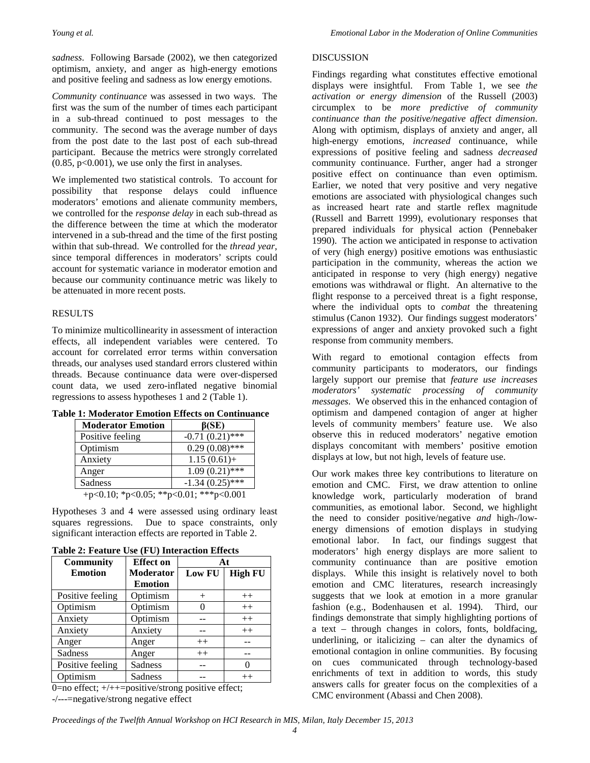*sadness*. Following Barsade (2002), we then categorized optimism, anxiety, and anger as high-energy emotions and positive feeling and sadness as low energy emotions.

*Community continuance* was assessed in two ways. The first was the sum of the number of times each participant in a sub-thread continued to post messages to the community. The second was the average number of days from the post date to the last post of each sub-thread participant. Because the metrics were strongly correlated  $(0.85, p<0.001)$ , we use only the first in analyses.

We implemented two statistical controls. To account for possibility that response delays could influence moderators' emotions and alienate community members, we controlled for the *response delay* in each sub-thread as the difference between the time at which the moderator intervened in a sub-thread and the time of the first posting within that sub-thread. We controlled for the *thread year*, since temporal differences in moderators' scripts could account for systematic variance in moderator emotion and because our community continuance metric was likely to be attenuated in more recent posts.

#### RESULTS

To minimize multicollinearity in assessment of interaction effects, all independent variables were centered. To account for correlated error terms within conversation threads, our analyses used standard errors clustered within threads. Because continuance data were over-dispersed count data, we used zero-inflated negative binomial regressions to assess hypotheses 1 and 2 (Table 1).

**Table 1: Moderator Emotion Effects on Continuance**

| <b>Moderator Emotion</b>                     | $\beta$ (SE)      |  |
|----------------------------------------------|-------------------|--|
| Positive feeling                             | $-0.71(0.21)$ *** |  |
| Optimism                                     | $0.29(0.08)$ ***  |  |
| Anxiety                                      | $1.15(0.61) +$    |  |
| Anger                                        | $1.09(0.21)$ ***  |  |
| Sadness                                      | $-1.34(0.25)$ *** |  |
| $n<0.10 \cdot x0 05 \cdot x0 01 \cdot x0 01$ |                   |  |

+p<0.10; \*p<0.05; \*\*p<0.01; \*\*\*p<0.001

Hypotheses 3 and 4 were assessed using ordinary least squares regressions. Due to space constraints, only significant interaction effects are reported in Table 2.

| <b>Community</b> | <b>Effect on</b> | At     |                |
|------------------|------------------|--------|----------------|
| <b>Emotion</b>   | Moderator        | Low FU | <b>High FU</b> |
|                  | <b>Emotion</b>   |        |                |
| Positive feeling | Optimism         |        | $++$           |
| Optimism         | Optimism         |        | $++$           |
| Anxiety          | Optimism         |        | $++$           |
| Anxiety          | Anxiety          |        | $++$           |
| Anger            | Anger            | $++$   |                |
| Sadness          | Anger            | $++$   |                |
| Positive feeling | Sadness          |        | 0              |
| Optimism         | Sadness          |        | $++$           |

**Table 2: Feature Use (FU) Interaction Effects**

0=no effect; +/++=positive/strong positive effect; -/---=negative/strong negative effect

#### DISCUSSION

Findings regarding what constitutes effective emotional displays were insightful. From Table 1, we see *the activation or energy dimension* of the Russell (2003) circumplex to be *more predictive of community continuance than the positive/negative affect dimension*. Along with optimism, displays of anxiety and anger, all high-energy emotions, *increased* continuance, while expressions of positive feeling and sadness *decreased* community continuance. Further, anger had a stronger positive effect on continuance than even optimism. Earlier, we noted that very positive and very negative emotions are associated with physiological changes such as increased heart rate and startle reflex magnitude (Russell and Barrett 1999), evolutionary responses that prepared individuals for physical action (Pennebaker 1990). The action we anticipated in response to activation of very (high energy) positive emotions was enthusiastic participation in the community, whereas the action we anticipated in response to very (high energy) negative emotions was withdrawal or flight. An alternative to the flight response to a perceived threat is a fight response, where the individual opts to *combat* the threatening stimulus (Canon 1932). Our findings suggest moderators' expressions of anger and anxiety provoked such a fight response from community members.

With regard to emotional contagion effects from community participants to moderators, our findings largely support our premise that *feature use increases moderators' systematic processing of community messages*. We observed this in the enhanced contagion of optimism and dampened contagion of anger at higher levels of community members' feature use. We also observe this in reduced moderators' negative emotion displays concomitant with members' positive emotion displays at low, but not high, levels of feature use.

Our work makes three key contributions to literature on emotion and CMC. First, we draw attention to online knowledge work, particularly moderation of brand communities, as emotional labor. Second, we highlight the need to consider positive/negative *and* high-/lowenergy dimensions of emotion displays in studying emotional labor. In fact, our findings suggest that moderators' high energy displays are more salient to community continuance than are positive emotion displays. While this insight is relatively novel to both emotion and CMC literatures, research increasingly suggests that we look at emotion in a more granular fashion (e.g., Bodenhausen et al. 1994). Third, our findings demonstrate that simply highlighting portions of a text – through changes in colors, fonts, boldfacing, underlining, or italicizing – can alter the dynamics of emotional contagion in online communities. By focusing on cues communicated through technology-based enrichments of text in addition to words, this study answers calls for greater focus on the complexities of a CMC environment (Abassi and Chen 2008).

*Proceedings of the Twelfth Annual Workshop on HCI Research in MIS, Milan, Italy December 15, 2013*